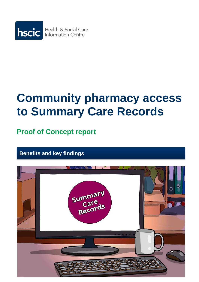

# **Community pharmacy access to Summary Care Records**

**Proof of Concept report** 

**Benefits and key findings** 

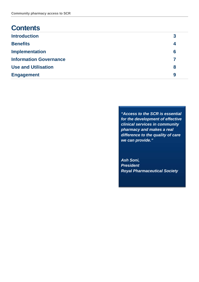## **Contents**

| <b>Introduction</b>           | 3 |
|-------------------------------|---|
| <b>Benefits</b>               | 4 |
| <b>Implementation</b>         | 6 |
| <b>Information Governance</b> |   |
| <b>Use and Utilisation</b>    | 8 |
| <b>Engagement</b>             | 9 |

*"Access to the SCR is essential for the development of effective clinical services in community pharmacy and makes a real difference to the quality of care we can provide."* 

*Ash Soni, President Royal Pharmaceutical Society*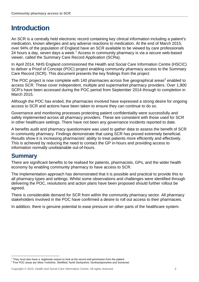# **Introduction**

An SCR is a centrally held electronic record containing key clinical information including a patient's medication, known allergies and any adverse reactions to medication. At the end of March 2015, over 94% of the population of England have an SCR available to be viewed by care professionals 24 hours a day, seven days a week.<sup>1</sup> Access in community pharmacy is via a secure web-based viewer, called the Summary Care Record Application (SCRa).

In April 2014, NHS England commissioned the Health and Social Care Information Centre (HSCIC) to deliver a Proof of Concept (POC) project enabling community pharmacy access to the Summary Care Record (SCR). This document presents the key findings from the project

The POC project is now complete with 140 pharmacies across five geographical areas<sup>2</sup> enabled to access SCR. These cover independent, multiple and supermarket pharmacy providers. Over 1,900 SCR's have been accessed during the POC period from September 2014 through to completion in March 2015.

Although the POC has ended, the pharmacies involved have expressed a strong desire for ongoing access to SCR and actions have been taken to ensure they can continue to do so.

Governance and monitoring processes protecting patient confidentiality were successfully and safely implemented across all pharmacy providers. These are consistent with those used for SCR in other healthcare settings. There have not been any governance incidents reported to date.

A benefits audit and pharmacy questionnaire was used to gather data to assess the benefit of SCR in community pharmacy. Findings demonstrate that using SCR has proved extremely beneficial. Results show it is increasing pharmacists' ability to treat patients more efficiently and effectively. This is achieved by reducing the need to contact the GP in-hours and providing access to information normally unobtainable out-of-hours.

## **Summary**

l

There are significant benefits to be realised for patients, pharmacists, GPs, and the wider health economy by enabling community pharmacy to have access to SCR.

The implementation approach has demonstrated that it is possible and practical to provide this to all pharmacy types and settings. Whilst some observations and challenges were identified through delivering the POC, resolutions and action plans have been proposed should further rollout be agreed.

There is considerable demand for SCR from within the community pharmacy sector. All pharmacy stakeholders involved in the POC have confirmed a desire to roll out access to their pharmacies.

In addition, there is genuine potential to ease pressure on other parts of the healthcare system.

<sup>&</sup>lt;sup>1</sup> They must also have a legitimate reason to look at the record and permission from the patient  $2\pi$  and  $2\pi$  and  $2\pi$  and  $2\pi$  and  $2\pi$ 

<sup>&</sup>lt;sup>2</sup> Five POC areas are West Yorkshire, Sheffield, North Derbyshire, Northamptonshire and Somerset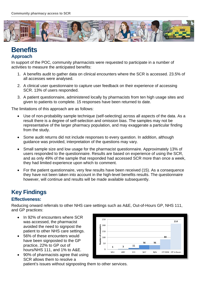

# **Benefits**

#### **Approach**

In support of the POC, community pharmacists were requested to participate in a number of activities to measure the anticipated benefits:

- 1. A benefits audit to gather data on clinical encounters where the SCR is accessed. 23.5% of all accesses were analysed.
- 2. A clinical user questionnaire to capture user feedback on their experience of accessing SCR. 13% of users responded.
- 3. A patient questionnaire, administered locally by pharmacists from ten high usage sites and given to patients to complete. 15 responses have been returned to date.

The limitations of this approach are as follows:

- Use of non-probability sample technique (self-selecting) across all aspects of the data. As a result there is a degree of self-selection and omission bias. The samples may not be representative of the larger pharmacy population, and may exaggerate a particular finding from the study.
- Some audit returns did not include responses to every question. In addition, although guidance was provided, interpretation of the questions may vary.
- Small sample size and low usage for the pharmacist questionnaire. Approximately 13% of users responded to the questionnaire. Results are based on experience of using the SCR, and as only 49% of the sample that responded had accessed SCR more than once a week, they had limited experience upon which to comment.
- For the patient questionnaire, very few results have been received (15). As a consequence they have not been taken into account in the high-level benefits results. The questionnaire however, will continue and results will be made available subsequently.

## **Key Findings**

#### **Effectiveness:**

Reducing onward referrals to other NHS care settings such as A&E, Out-of-Hours GP, NHS 111, and GP practices:

- In 92% of encounters where SCR was accessed, the pharmacist avoided the need to signpost the patient to other NHS care settings.
- 56% of these encounters would have been signposted to the GP practice, 22% to GP out of hours/NHS 111, and 1% to A&E.
- 90% of pharmacists agree that using SCR allows them to resolve a patient's issues without signposting them to other services.

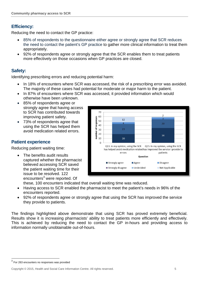### **Efficiency:**

Reducing the need to contact the GP practice:

- 85% of respondents to the questionnaire either agree or strongly agree that SCR reduces the need to contact the patient's GP practice to gather more clinical information to treat them appropriately.
- 92% of respondents agree or strongly agree that the SCR enables them to treat patients more effectively on those occasions when GP practices are closed.

#### **Safety:**

Identifying prescribing errors and reducing potential harm:

- In 18% of encounters where SCR was accessed, the risk of a prescribing error was avoided. The majority of these cases had potential for moderate or major harm to the patient.
- In 87% of encounters where SCR was accessed, it provided information which would
- otherwise have been unknown. 85% of respondents agree or strongly agree that having access to SCR has contributed towards
- improving patient safety. 73% of respondents agree that using the SCR has helped them avoid medication related errors.

### **Patient experience**

Reducing patient waiting time:

 The benefits audit results captured whether the pharmacist believed accessing SCR saved the patient waiting time for their issue to be resolved. 122 encounters<sup>3</sup> were reported. Of



these, 100 encounters indicated that overall waiting time was reduced.

- Having access to SCR enabled the pharmacist to meet the patient's needs in 96% of the encounters reported.
- 92% of respondents agree or strongly agree that using the SCR has improved the service they provide to patients.

The findings highlighted above demonstrate that using SCR has proved extremely beneficial. Results show it is increasing pharmacists' ability to treat patients more efficiently and effectively. This is achieved by reducing the need to contact the GP in-hours and providing access to information normally unobtainable out-of-hours.

l

 $3$  For 263 encounters no responses was provided

Copyright © 2015, Health and Social Care Information Centre. All rights reserved. 5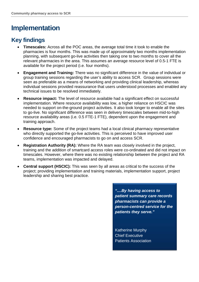# **Implementation**

## **Key findings**

- **Timescales:** Across all the POC areas, the average total time it took to enable the pharmacies is four months. This was made up of approximately two months implementation planning, with subsequent go-live activities then taking one to two months to cover all the relevant pharmacies in the area. This assumes an average resource level of 0.5-1 FTE is available for the project period (i.e. four months).
- **Engagement and Training:** There was no significant difference in the value of individual or group training sessions regarding the user's ability to access SCR. Group sessions were seen as preferable as a means of networking and providing clinical leadership, whereas individual sessions provided reassurance that users understood processes and enabled any technical issues to be resolved immediately.
- **Resource impact:** The level of resource available had a significant effect on successful implementation. Where resource availability was low, a higher reliance on HSCIC was needed to support on-the-ground project activities. It also took longer to enable all the sites to go-live. No significant difference was seen in delivery timescales between mid-to-high resource availability areas (i.e. 0.5 FTE-1 FTE), dependent upon the engagement and training approach.
- **Resource type:** Some of the project teams had a local clinical pharmacy representative who directly supported the go-live activities. This is perceived to have improved user confidence and encouraged pharmacists to go on and access SCR.
- **Registration Authority (RA):** Where the RA team was closely involved in the project, training and the addition of smartcard access roles were co-ordinated and did not impact on timescales. However, where there was no existing relationship between the project and RA teams, implementation was impacted and delayed.
- **Central support (HSCIC):** This was seen by all areas as critical to the success of the project; providing implementation and training materials, implementation support, project leadership and sharing best practice.

*"....By having access to patient summary care records pharmacists can provide a person-centred service for the patients they serve."*

Katherine Murphy Chief Executive Patients Association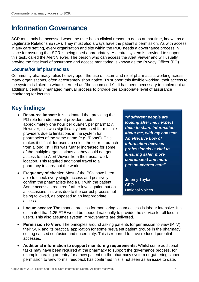# **Information Governance**

SCR must only be accessed when the user has a clinical reason to do so at that time, known as a Legitimate Relationship (LR). They must also always have the patient's permission. As with access in any care setting, every organisation and site within the POC needs a governance process in place for assuring that SCR is being used appropriately. A central system is provided to support this task, called the Alert Viewer. The person who can access the Alert Viewer and will usually provide the first level of assurance and access monitoring is known as the Privacy Officer (PO).

#### **Locums/Relief pharmacists**

Community pharmacy relies heavily upon the use of locum and relief pharmacists working across many organisations, often at extremely short notice. To support this flexible working, their access to the system is linked to what is termed as "the locum code". It has been necessary to implement an additional centrally managed manual process to provide the appropriate level of assurance monitoring for locums.

## **Key findings**

- **Resource impact:** It is estimated that providing the PO role for independent providers took approximately one hour per quarter, per pharmacy. However, this was significantly increased for multiple providers due to limitations in the system for pharmacies of the same name (e.g. "Boots"). This makes it difficult for users to select the correct branch from a long list. This was further increased for some of the multiple organisations as they could not get access to the Alert Viewer from their usual work location. This required additional travel to a pharmacy to carry out the work.
- **Frequency of checks:** Most of the POs have been able to check every single access and positively confirm the pharmacists had a LR with the patient. Some accesses required further investigation but on all occasions this was due to the correct process not being followed, as opposed to an inappropriate access.

*"If different people are looking after me, I expect them to share information about me, with my consent. An effective flow of information between professionals is vital to ensuring safer, more coordinated and more person-centred care"* 

Jeremy Taylor CEO National Voices

- **Locum access:** The manual process for monitoring locum access is labour intensive. It is estimated that 1.25 FTE would be needed nationally to provide the service for all locum users. This also assumes system improvements are delivered.
- **Permission to View:** The principles around asking patients for permission to view (PTV) their SCR and its practical application for some prevalent patient groups in the pharmacy setting caused confusion and uncertainty. This is reported to have reduced potential accesses.
- **Additional information to support monitoring requirements:** Whilst some additional tasks may have been required at the pharmacy to support the governance process, for example creating an entry for a new patient on the pharmacy system or gathering signed permission to view forms, feedback has confirmed this is not seen as an issue to date.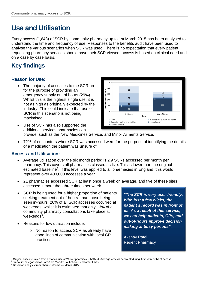# **Use and Utilisation**

Every access (1,643) of SCR by community pharmacy up to 1st March 2015 has been analysed to understand the time and frequency of use. Responses to the benefits audit have been used to analyse the various scenarios when SCR was used. There is no expectation that every patient requesting pharmacy services should have their SCR viewed; access is based on clinical need and on a case by case basis.

## **Key findings**

#### **Reason for Use:**

 The majority of accesses to the SCR are for the purpose of providing an emergency supply out of hours (29%). Whilst this is the highest single use, it is not as high as originally expected by the industry. This could indicate that use of SCR in this scenario is not being maximised.



 Use of SCR has also supported the additional services pharmacies can provide, such as the New Medicines Service, and Minor Ailments Service.

 72% of encounters where SCR was accessed were for the purpose of identifying the details of a medication the patient was unsure of.

#### **Access and Utilisation:**

- Average utilisation over the six month period is 2.9 SCRs accessed per month per pharmacy. This covers all pharmacies classed as live. This is lower than the original estimated baseline<sup>4</sup>. If this level was applied to all pharmacies in England, this would represent over 400,000 accesses a year.
- 21 pharmacies accessed SCR at least once a week on average, and five of these sites accessed it more than three times per week.
- SCR is being used for a higher proportion of patients seeking treatment out-of-hours<sup>5</sup> than those being seen in-hours. 26% of all SCR accesses occurred at weekends, whilst it is estimated that only 13% of all community pharmacy consultations take place at weekends<sup>6</sup>.
- Reasons for low utilisation include:
	- o No reason to access SCR as already have good lines of communication with local GP practices.

*"The SCR is very user-friendly. With just a few clicks, the patient's record was in front of us. As a result of this service, we can help patients, GPs, and out-of-hours improve decision making at busy periods".* 

Akshay Patel Regent Pharmacy

 $\overline{a}$ <sup>4</sup> Original baseline taken from historical use at Wicker pharmacy, Sheffield. Average 4 views per week during first six months of access **5.10** bours' ortagrised as some fame Man Eri, fout of bours' all other times

 <sup>&#</sup>x27;In-hours' categorised as 8am-6pm Mon-Fri, 'out-of-hours' all other times 6

 $6$  Based on analysis from PharmOutcomes – March 2015